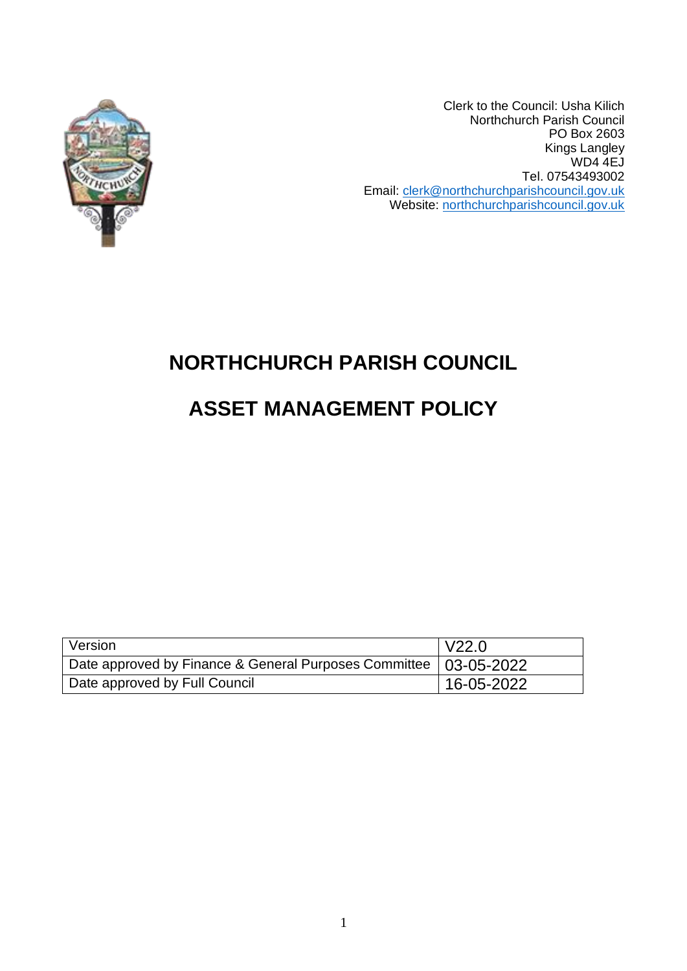

Clerk to the Council: Usha Kilich Northchurch Parish Council PO Box 2603 Kings Langley WD4 4EJ Tel. 07543493002 Email: [clerk@northchurchparishcouncil.gov.uk](mailto:clerk@northchurchparishcouncil.gov.uk) Website: [northchurchparishcouncil.gov.uk](/Users/user/Downloads/northchurchparishcouncil.gov.uk)

# **NORTHCHURCH PARISH COUNCIL**

# **ASSET MANAGEMENT POLICY**

| Version                                                            | V22.0      |
|--------------------------------------------------------------------|------------|
| Date approved by Finance & General Purposes Committee   03-05-2022 |            |
| Date approved by Full Council                                      | 16-05-2022 |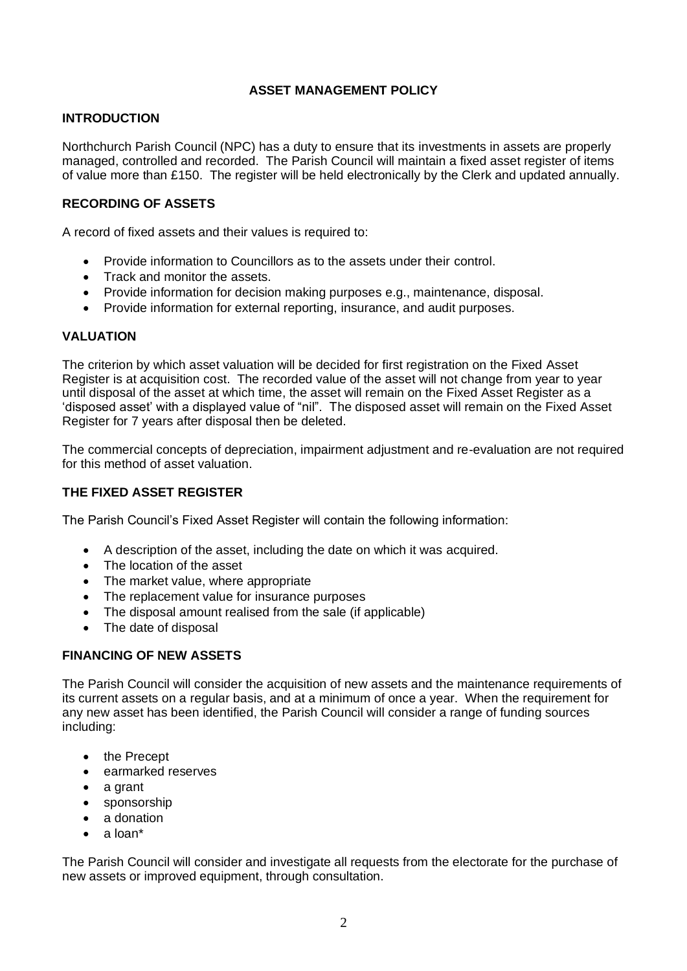## **ASSET MANAGEMENT POLICY**

#### **INTRODUCTION**

Northchurch Parish Council (NPC) has a duty to ensure that its investments in assets are properly managed, controlled and recorded. The Parish Council will maintain a fixed asset register of items of value more than £150. The register will be held electronically by the Clerk and updated annually.

#### **RECORDING OF ASSETS**

A record of fixed assets and their values is required to:

- Provide information to Councillors as to the assets under their control.
- Track and monitor the assets.
- Provide information for decision making purposes e.g., maintenance, disposal.
- Provide information for external reporting, insurance, and audit purposes.

#### **VALUATION**

The criterion by which asset valuation will be decided for first registration on the Fixed Asset Register is at acquisition cost. The recorded value of the asset will not change from year to year until disposal of the asset at which time, the asset will remain on the Fixed Asset Register as a 'disposed asset' with a displayed value of "nil". The disposed asset will remain on the Fixed Asset Register for 7 years after disposal then be deleted.

The commercial concepts of depreciation, impairment adjustment and re-evaluation are not required for this method of asset valuation.

#### **THE FIXED ASSET REGISTER**

The Parish Council's Fixed Asset Register will contain the following information:

- A description of the asset, including the date on which it was acquired.
- The location of the asset
- The market value, where appropriate
- The replacement value for insurance purposes
- The disposal amount realised from the sale (if applicable)
- The date of disposal

### **FINANCING OF NEW ASSETS**

The Parish Council will consider the acquisition of new assets and the maintenance requirements of its current assets on a regular basis, and at a minimum of once a year. When the requirement for any new asset has been identified, the Parish Council will consider a range of funding sources including:

- the Precept
- earmarked reserves
- a grant
- sponsorship
- a donation
- a loan\*

The Parish Council will consider and investigate all requests from the electorate for the purchase of new assets or improved equipment, through consultation.